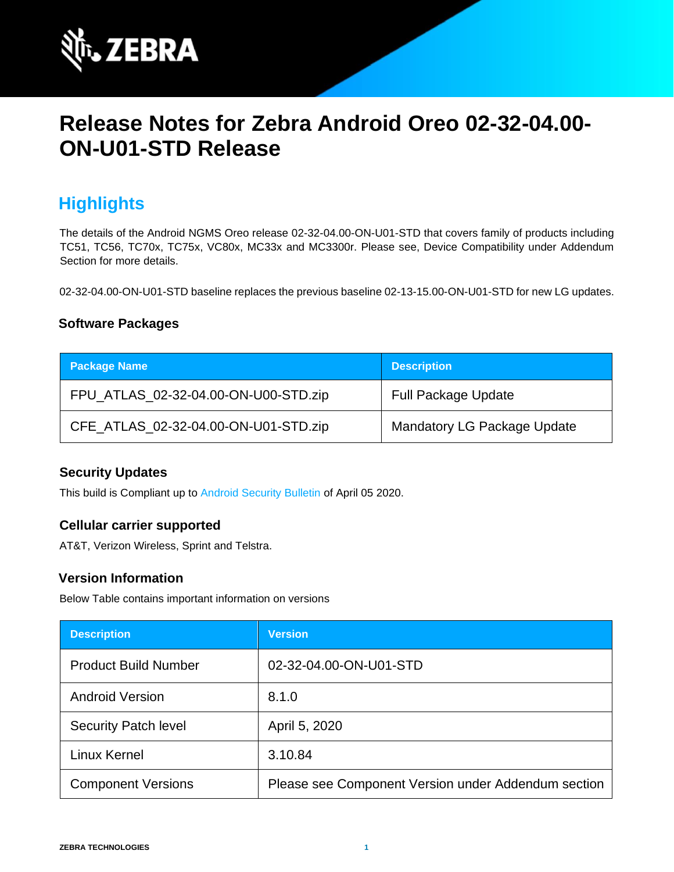

# **Release Notes for Zebra Android Oreo 02-32-04.00- ON-U01-STD Release**

# **Highlights**

The details of the Android NGMS Oreo release 02-32-04.00-ON-U01-STD that covers family of products including TC51, TC56, TC70x, TC75x, VC80x, MC33x and MC3300r. Please see, Device Compatibility under Addendum Section for more details.

02-32-04.00-ON-U01-STD baseline replaces the previous baseline 02-13-15.00-ON-U01-STD for new LG updates.

### **Software Packages**

| <b>Package Name</b>                  | <b>Description</b>                 |
|--------------------------------------|------------------------------------|
| FPU_ATLAS_02-32-04.00-ON-U00-STD.zip | <b>Full Package Update</b>         |
| CFE_ATLAS_02-32-04.00-ON-U01-STD.zip | <b>Mandatory LG Package Update</b> |

#### **Security Updates**

This build is Compliant up to [Android Security Bulletin](https://source.android.com/security/bulletin/) of April 05 2020.

#### **Cellular carrier supported**

AT&T, Verizon Wireless, Sprint and Telstra.

#### **Version Information**

Below Table contains important information on versions

| <b>Description</b>          | <b>Version</b>                                      |
|-----------------------------|-----------------------------------------------------|
| <b>Product Build Number</b> | 02-32-04.00-ON-U01-STD                              |
| <b>Android Version</b>      | 8.1.0                                               |
| <b>Security Patch level</b> | April 5, 2020                                       |
| Linux Kernel                | 3.10.84                                             |
| <b>Component Versions</b>   | Please see Component Version under Addendum section |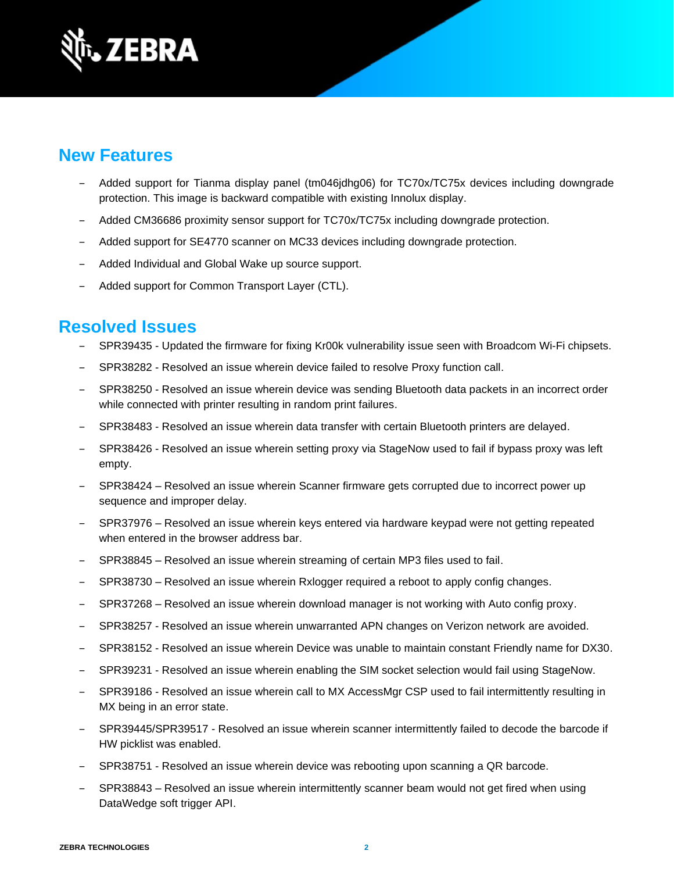

### **New Features**

- ‒ Added support for Tianma display panel (tm046jdhg06) for TC70x/TC75x devices including downgrade protection. This image is backward compatible with existing Innolux display.
- ‒ Added CM36686 proximity sensor support for TC70x/TC75x including downgrade protection.
- Added support for SE4770 scanner on MC33 devices including downgrade protection.
- Added Individual and Global Wake up source support.
- Added support for Common Transport Layer (CTL).

### **Resolved Issues**

- SPR39435 Updated the firmware for fixing Kr00k vulnerability issue seen with Broadcom Wi-Fi chipsets.
- SPR38282 Resolved an issue wherein device failed to resolve Proxy function call.
- ‒ SPR38250 Resolved an issue wherein device was sending Bluetooth data packets in an incorrect order while connected with printer resulting in random print failures.
- ‒ SPR38483 Resolved an issue wherein data transfer with certain Bluetooth printers are delayed.
- SPR38426 Resolved an issue wherein setting proxy via StageNow used to fail if bypass proxy was left empty.
- ‒ SPR38424 Resolved an issue wherein Scanner firmware gets corrupted due to incorrect power up sequence and improper delay.
- ‒ SPR37976 Resolved an issue wherein keys entered via hardware keypad were not getting repeated when entered in the browser address bar.
- ‒ SPR38845 Resolved an issue wherein streaming of certain MP3 files used to fail.
- SPR38730 Resolved an issue wherein Rxlogger required a reboot to apply config changes.
- SPR37268 Resolved an issue wherein download manager is not working with Auto config proxy.
- SPR38257 Resolved an issue wherein unwarranted APN changes on Verizon network are avoided.
- SPR38152 Resolved an issue wherein Device was unable to maintain constant Friendly name for DX30.
- SPR39231 Resolved an issue wherein enabling the SIM socket selection would fail using StageNow.
- SPR39186 Resolved an issue wherein call to MX AccessMgr CSP used to fail intermittently resulting in MX being in an error state.
- SPR39445/SPR39517 Resolved an issue wherein scanner intermittently failed to decode the barcode if HW picklist was enabled.
- ‒ SPR38751 Resolved an issue wherein device was rebooting upon scanning a QR barcode.
- SPR38843 Resolved an issue wherein intermittently scanner beam would not get fired when using DataWedge soft trigger API.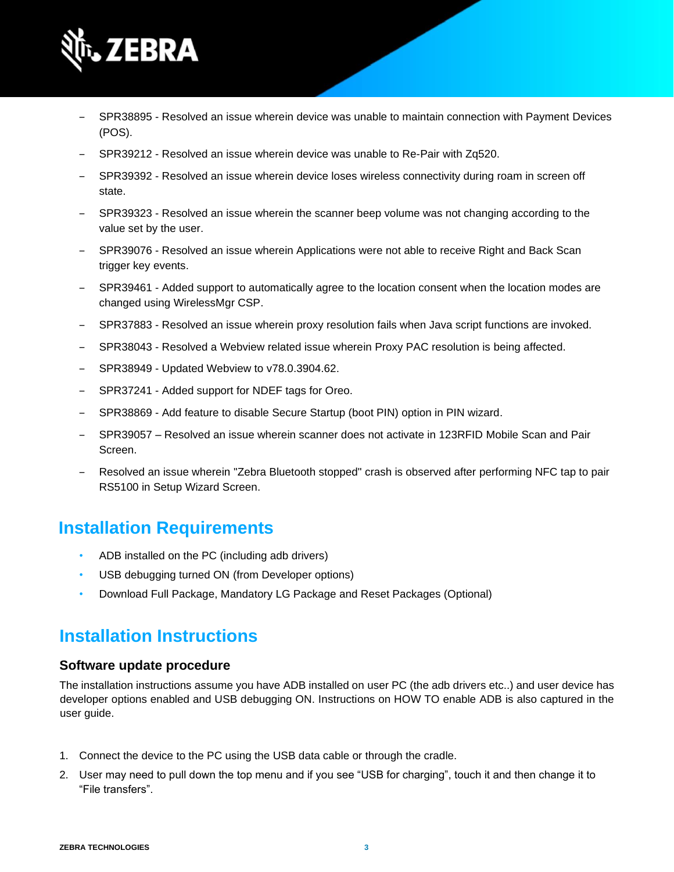

- ‒ SPR38895 Resolved an issue wherein device was unable to maintain connection with Payment Devices (POS).
- ‒ SPR39212 Resolved an issue wherein device was unable to Re-Pair with Zq520.
- SPR39392 Resolved an issue wherein device loses wireless connectivity during roam in screen off state.
- SPR39323 Resolved an issue wherein the scanner beep volume was not changing according to the value set by the user.
- ‒ SPR39076 Resolved an issue wherein Applications were not able to receive Right and Back Scan trigger key events.
- SPR39461 Added support to automatically agree to the location consent when the location modes are changed using WirelessMgr CSP.
- ‒ SPR37883 Resolved an issue wherein proxy resolution fails when Java script functions are invoked.
- SPR38043 Resolved a Webview related issue wherein Proxy PAC resolution is being affected.
- ‒ SPR38949 Updated Webview to v78.0.3904.62.
- SPR37241 Added support for NDEF tags for Oreo.
- SPR38869 Add feature to disable Secure Startup (boot PIN) option in PIN wizard.
- ‒ SPR39057 Resolved an issue wherein scanner does not activate in 123RFID Mobile Scan and Pair Screen.
- ‒ Resolved an issue wherein "Zebra Bluetooth stopped" crash is observed after performing NFC tap to pair RS5100 in Setup Wizard Screen.

### **Installation Requirements**

- ADB installed on the PC (including adb drivers)
- USB debugging turned ON (from Developer options)
- Download Full Package, Mandatory LG Package and Reset Packages (Optional)

### **Installation Instructions**

#### **Software update procedure**

The installation instructions assume you have ADB installed on user PC (the adb drivers etc..) and user device has developer options enabled and USB debugging ON. Instructions on HOW TO enable ADB is also captured in the user guide.

- 1. Connect the device to the PC using the USB data cable or through the cradle.
- 2. User may need to pull down the top menu and if you see "USB for charging", touch it and then change it to "File transfers".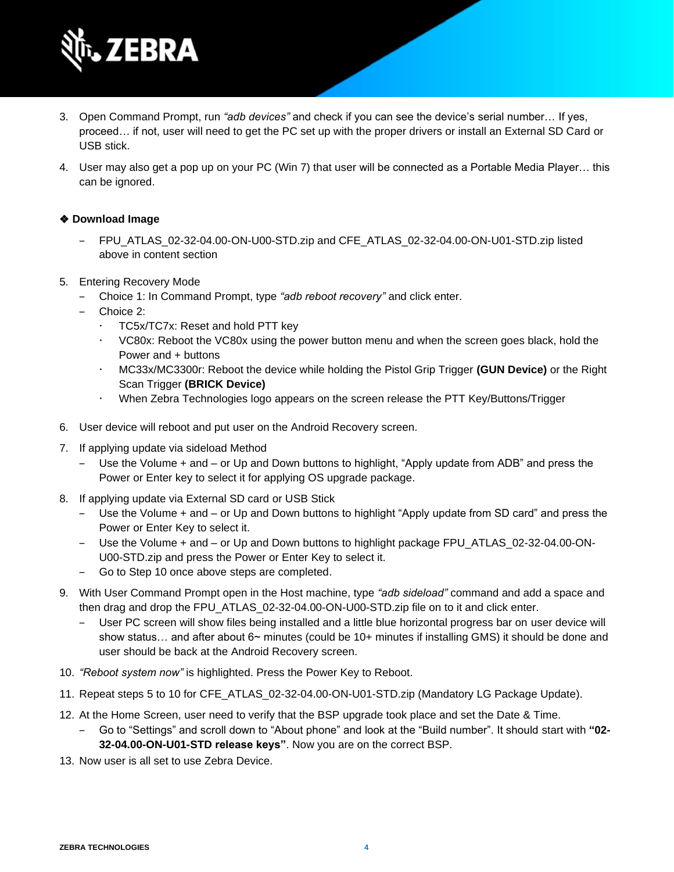

- 3. Open Command Prompt, run *"adb devices"* and check if you can see the device's serial number… If yes, proceed… if not, user will need to get the PC set up with the proper drivers or install an External SD Card or USB stick.
- 4. User may also get a pop up on your PC (Win 7) that user will be connected as a Portable Media Player… this can be ignored.

#### ❖ **Download Image**

- FPU\_ATLAS\_02-32-04.00-ON-U00-STD.zip and CFE\_ATLAS\_02-32-04.00-ON-U01-STD.zip listed above in content section
- 5. Entering Recovery Mode
	- ‒ Choice 1: In Command Prompt, type *"adb reboot recovery"* and click enter.
	- Choice 2:
		- TC5x/TC7x: Reset and hold PTT key
		- VC80x: Reboot the VC80x using the power button menu and when the screen goes black, hold the Power and + buttons
		- MC33x/MC3300r: Reboot the device while holding the Pistol Grip Trigger **(GUN Device)** or the Right Scan Trigger **(BRICK Device)**
		- When Zebra Technologies logo appears on the screen release the PTT Key/Buttons/Trigger
- 6. User device will reboot and put user on the Android Recovery screen.
- 7. If applying update via sideload Method
	- Use the Volume + and or Up and Down buttons to highlight, "Apply update from ADB" and press the Power or Enter key to select it for applying OS upgrade package.
- 8. If applying update via External SD card or USB Stick
	- ‒ Use the Volume + and or Up and Down buttons to highlight "Apply update from SD card" and press the Power or Enter Key to select it.
	- Use the Volume + and or Up and Down buttons to highlight package FPU ATLAS 02-32-04.00-ON-U00-STD.zip and press the Power or Enter Key to select it.
	- ‒ Go to Step 10 once above steps are completed.
- 9. With User Command Prompt open in the Host machine, type *"adb sideload"* command and add a space and then drag and drop the FPU\_ATLAS\_02-32-04.00-ON-U00-STD.zip file on to it and click enter.
	- ‒ User PC screen will show files being installed and a little blue horizontal progress bar on user device will show status... and after about 6~ minutes (could be 10+ minutes if installing GMS) it should be done and user should be back at the Android Recovery screen.
- 10. *"Reboot system now"* is highlighted. Press the Power Key to Reboot.
- 11. Repeat steps 5 to 10 for CFE\_ATLAS\_02-32-04.00-ON-U01-STD.zip (Mandatory LG Package Update).
- 12. At the Home Screen, user need to verify that the BSP upgrade took place and set the Date & Time.
	- ‒ Go to "Settings" and scroll down to "About phone" and look at the "Build number". It should start with **"02- 32-04.00-ON-U01-STD release keys"**. Now you are on the correct BSP.
- 13. Now user is all set to use Zebra Device.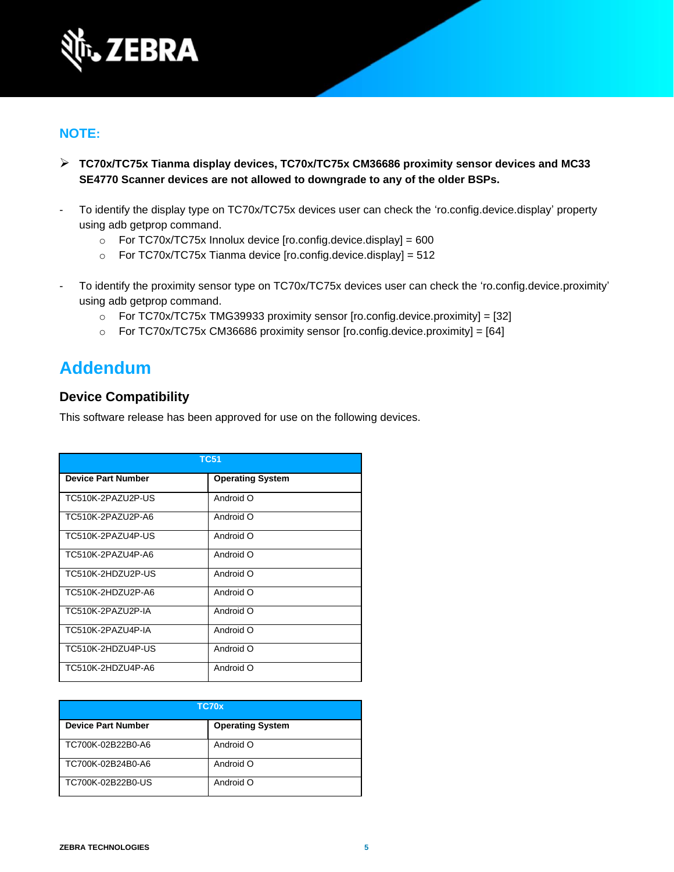

### **NOTE:**

- ➢ **TC70x/TC75x Tianma display devices, TC70x/TC75x CM36686 proximity sensor devices and MC33 SE4770 Scanner devices are not allowed to downgrade to any of the older BSPs.**
- To identify the display type on TC70x/TC75x devices user can check the 'ro.config.device.display' property using adb getprop command.
	- $\circ$  For TC70x/TC75x Innolux device [ro.config.device.display] = 600
	- o For TC70x/TC75x Tianma device [ro.config.device.display] = 512
- To identify the proximity sensor type on TC70x/TC75x devices user can check the 'ro.config.device.proximity' using adb getprop command.
	- $\circ$  For TC70x/TC75x [TMG39933](http://157.235.208.175:8080/source/s?refs=PROX_AMS_TMG39933&project=8956O-PR) proximity sensor [ro.config.device.proximity] = [32]
	- $\circ$  For TC70x/TC75x CM36686 proximity sensor [ro.config.device.proximity] = [64]

### **Addendum**

#### **Device Compatibility**

This software release has been approved for use on the following devices.

| <b>TC51</b>               |                         |  |
|---------------------------|-------------------------|--|
| <b>Device Part Number</b> | <b>Operating System</b> |  |
| TC510K-2PAZU2P-US         | Android O               |  |
| TC510K-2PAZU2P-A6         | Android O               |  |
| TC510K-2PAZU4P-US         | Android O               |  |
| TC510K-2PAZU4P-A6         | Android O               |  |
| TC510K-2HDZU2P-US         | Android O               |  |
| TC510K-2HDZU2P-A6         | Android O               |  |
| TC510K-2PAZU2P-IA         | Android O               |  |
| TC510K-2PAZU4P-IA         | Android O               |  |
| TC510K-2HDZU4P-US         | Android O               |  |
| TC510K-2HDZU4P-A6         | Android O               |  |

| TC70x                     |                         |
|---------------------------|-------------------------|
| <b>Device Part Number</b> | <b>Operating System</b> |
| TC700K-02B22B0-A6         | Android O               |
| TC700K-02B24B0-A6         | Android O               |
| TC700K-02B22B0-US         | Android O               |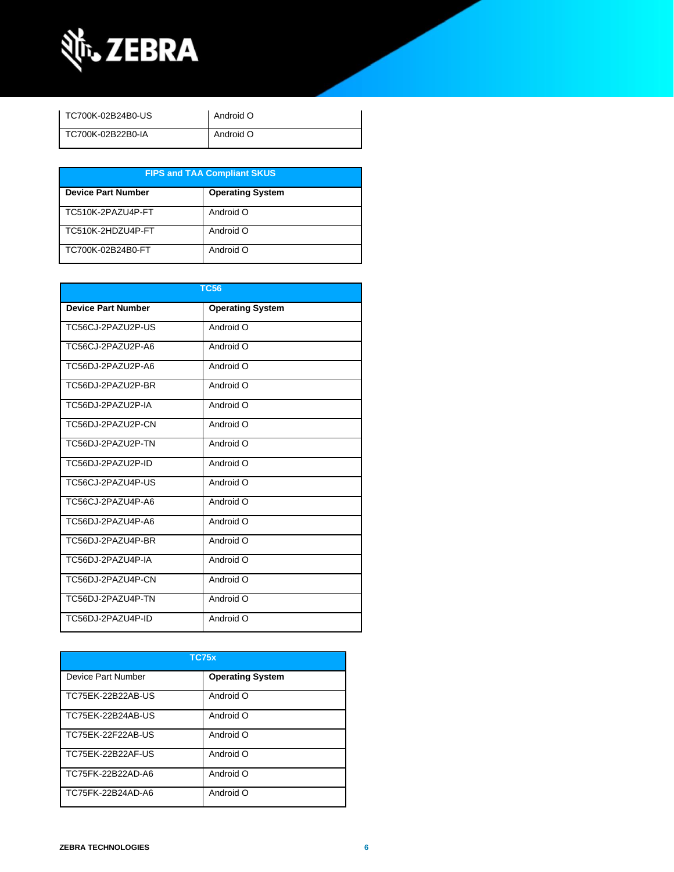

| TC700K-02B24B0-US | Android O |
|-------------------|-----------|
| TC700K-02B22B0-IA | Android O |

| <b>FIPS and TAA Compliant SKUS</b> |                         |  |
|------------------------------------|-------------------------|--|
| <b>Device Part Number</b>          | <b>Operating System</b> |  |
| TC510K-2PAZU4P-FT                  | Android O               |  |
| TC510K-2HDZU4P-FT                  | Android O               |  |
| TC700K-02B24B0-FT                  | Android O               |  |

| <b>TC56</b>               |                         |  |
|---------------------------|-------------------------|--|
| <b>Device Part Number</b> | <b>Operating System</b> |  |
| TC56CJ-2PAZU2P-US         | Android O               |  |
| TC56CJ-2PAZU2P-A6         | Android O               |  |
| TC56DJ-2PAZU2P-A6         | Android O               |  |
| TC56DJ-2PAZU2P-BR         | Android O               |  |
| TC56DJ-2PAZU2P-IA         | Android O               |  |
| TC56DJ-2PAZU2P-CN         | Android O               |  |
| TC56DJ-2PAZU2P-TN         | Android O               |  |
| TC56DJ-2PAZU2P-ID         | Android O               |  |
| TC56CJ-2PAZU4P-US         | Android O               |  |
| TC56CJ-2PAZU4P-A6         | Android O               |  |
| TC56DJ-2PAZU4P-A6         | Android O               |  |
| TC56DJ-2PAZU4P-BR         | Android O               |  |
| TC56DJ-2PAZU4P-IA         | Android O               |  |
| TC56DJ-2PAZU4P-CN         | Android O               |  |
| TC56DJ-2PAZU4P-TN         | Android O               |  |
| TC56DJ-2PAZU4P-ID         | Android O               |  |

| <b>TC75x</b>       |                         |  |
|--------------------|-------------------------|--|
| Device Part Number | <b>Operating System</b> |  |
| TC75EK-22B22AB-US  | Android O               |  |
| TC75EK-22B24AB-US  | Android O               |  |
| TC75EK-22F22AB-US  | Android O               |  |
| TC75EK-22B22AF-US  | Android O               |  |
| TC75FK-22B22AD-A6  | Android O               |  |
| TC75FK-22B24AD-A6  | Android O               |  |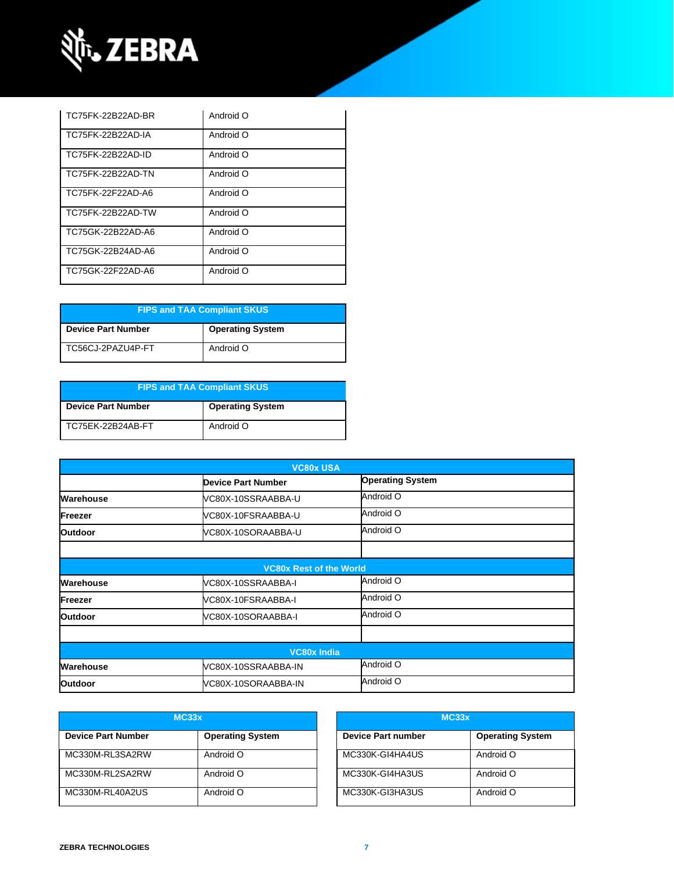

| TC75FK-22B22AD-BR | Android O |
|-------------------|-----------|
| TC75FK-22B22AD-IA | Android O |
| TC75FK-22B22AD-ID | Android O |
| TC75FK-22B22AD-TN | Android O |
| TC75FK-22F22AD-A6 | Android O |
| TC75FK-22B22AD-TW | Android O |
| TC75GK-22B22AD-A6 | Android O |
| TC75GK-22B24AD-A6 | Android O |
| TC75GK-22F22AD-A6 | Android O |

| <b>FIPS and TAA Compliant SKUS</b> |                         |
|------------------------------------|-------------------------|
| <b>Device Part Number</b>          | <b>Operating System</b> |
| TC56CJ-2PAZU4P-FT                  | Android O               |

| <b>FIPS and TAA Compliant SKUS</b> |                         |
|------------------------------------|-------------------------|
| <b>Device Part Number</b>          | <b>Operating System</b> |
| TC75EK-22B24AB-FT                  | Android O               |

| <b>VC80x USA</b>   |                                |                         |  |
|--------------------|--------------------------------|-------------------------|--|
|                    | <b>Device Part Number</b>      | <b>Operating System</b> |  |
| Warehouse          | VC80X-10SSRAABBA-U             | Android O               |  |
| <b>IFreezer</b>    | VC80X-10FSRAABBA-U             | Android O               |  |
| <b>Outdoor</b>     | VC80X-10SORAABBA-U             | Android O               |  |
|                    |                                |                         |  |
|                    | <b>VC80x Rest of the World</b> |                         |  |
| Warehouse          | VC80X-10SSRAABBA-I             | Android O               |  |
| Freezer            | VC80X-10FSRAABBA-I             | Android O               |  |
| <b>Outdoor</b>     | VC80X-10SORAABBA-I             | Android O               |  |
|                    |                                |                         |  |
| <b>VC80x India</b> |                                |                         |  |
| Warehouse          | VC80X-10SSRAABBA-IN            | Android O               |  |
| <b>Outdoor</b>     | VC80X-10SORAABBA-IN            | Android O               |  |

|                           | MC33x                   |                           | MC33x                   |
|---------------------------|-------------------------|---------------------------|-------------------------|
| <b>Device Part Number</b> | <b>Operating System</b> | <b>Device Part number</b> | <b>Operating System</b> |
| MC330M-RL3SA2RW           | Android O               | MC330K-GI4HA4US           | Android O               |
| MC330M-RL2SA2RW           | Android O               | MC330K-GI4HA3US           | Android O               |
| MC330M-RL40A2US           | Android O               | MC330K-GI3HA3US           | Android O               |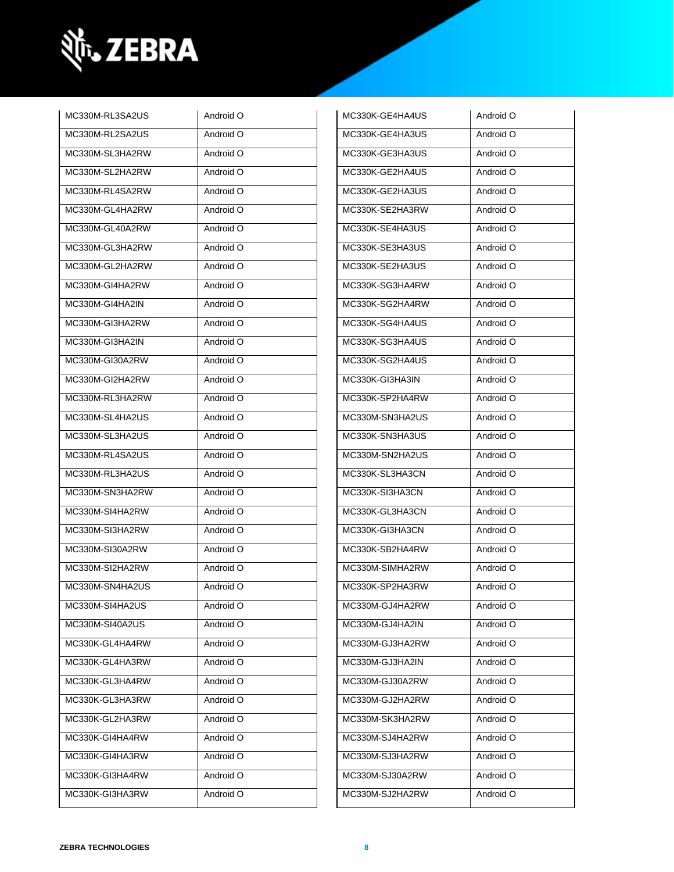

| MC330M-RL3SA2US | Android O | MC330K-GE4HA4US | Android O |
|-----------------|-----------|-----------------|-----------|
| MC330M-RL2SA2US | Android O | MC330K-GE4HA3US | Android O |
| MC330M-SL3HA2RW | Android O | MC330K-GE3HA3US | Android O |
| MC330M-SL2HA2RW | Android O | MC330K-GE2HA4US | Android O |
| MC330M-RL4SA2RW | Android O | MC330K-GE2HA3US | Android O |
| MC330M-GL4HA2RW | Android O | MC330K-SE2HA3RW | Android O |
| MC330M-GL40A2RW | Android O | MC330K-SE4HA3US | Android O |
| MC330M-GL3HA2RW | Android O | MC330K-SE3HA3US | Android O |
| MC330M-GL2HA2RW | Android O | MC330K-SE2HA3US | Android O |
| MC330M-GI4HA2RW | Android O | MC330K-SG3HA4RW | Android O |
| MC330M-GI4HA2IN | Android O | MC330K-SG2HA4RW | Android O |
| MC330M-GI3HA2RW | Android O | MC330K-SG4HA4US | Android O |
| MC330M-GI3HA2IN | Android O | MC330K-SG3HA4US | Android O |
| MC330M-GI30A2RW | Android O | MC330K-SG2HA4US | Android O |
| MC330M-GI2HA2RW | Android O | MC330K-GI3HA3IN | Android O |
| MC330M-RL3HA2RW | Android O | MC330K-SP2HA4RW | Android O |
| MC330M-SL4HA2US | Android O | MC330M-SN3HA2US | Android O |
| MC330M-SL3HA2US | Android O | MC330K-SN3HA3US | Android O |
| MC330M-RL4SA2US | Android O | MC330M-SN2HA2US | Android O |
| MC330M-RL3HA2US | Android O | MC330K-SL3HA3CN | Android O |
| MC330M-SN3HA2RW | Android O | MC330K-SI3HA3CN | Android O |
| MC330M-SI4HA2RW | Android O | MC330K-GL3HA3CN | Android O |
| MC330M-SI3HA2RW | Android O | MC330K-GI3HA3CN | Android O |
| MC330M-SI30A2RW | Android O | MC330K-SB2HA4RW | Android O |
| MC330M-SI2HA2RW | Android O | MC330M-SIMHA2RW | Android O |
| MC330M-SN4HA2US | Android O | MC330K-SP2HA3RW | Android O |
| MC330M-SI4HA2US | Android O | MC330M-GJ4HA2RW | Android O |
| MC330M-SI40A2US | Android O | MC330M-GJ4HA2IN | Android O |
| MC330K-GL4HA4RW | Android O | MC330M-GJ3HA2RW | Android O |
| MC330K-GL4HA3RW | Android O | MC330M-GJ3HA2IN | Android O |
| MC330K-GL3HA4RW | Android O | MC330M-GJ30A2RW | Android O |
| MC330K-GL3HA3RW | Android O | MC330M-GJ2HA2RW | Android O |
| MC330K-GL2HA3RW | Android O | MC330M-SK3HA2RW | Android O |
| MC330K-GI4HA4RW | Android O | MC330M-SJ4HA2RW | Android O |
| MC330K-GI4HA3RW | Android O | MC330M-SJ3HA2RW | Android O |
| MC330K-GI3HA4RW | Android O | MC330M-SJ30A2RW | Android O |
| MC330K-GI3HA3RW | Android O | MC330M-SJ2HA2RW | Android O |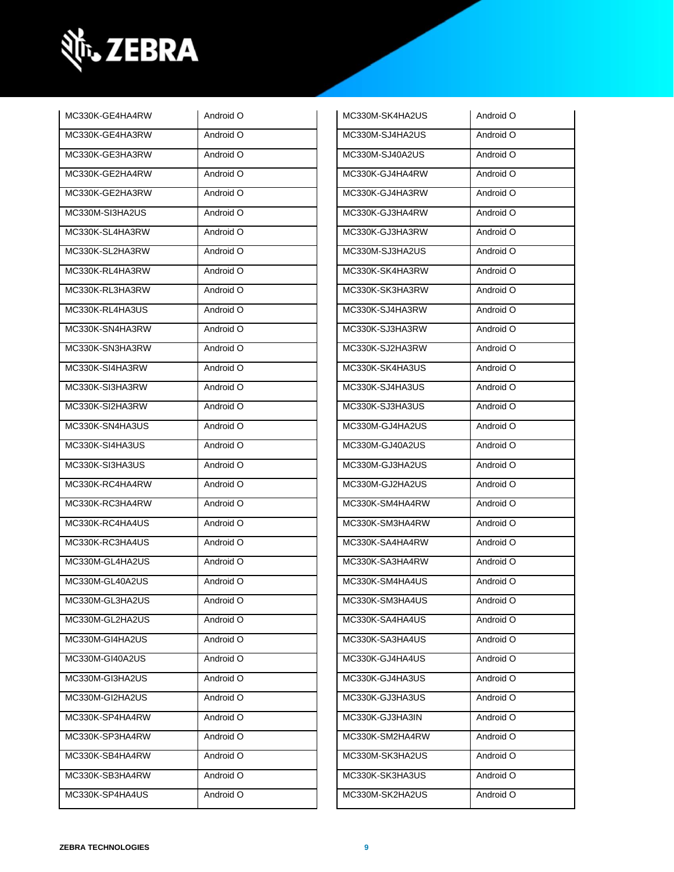

| MC330K-GE4HA4RW | Android O | MC330M-SK4HA2US | Android O |
|-----------------|-----------|-----------------|-----------|
| MC330K-GE4HA3RW | Android O | MC330M-SJ4HA2US | Android O |
| MC330K-GE3HA3RW | Android O | MC330M-SJ40A2US | Android O |
| MC330K-GE2HA4RW | Android O | MC330K-GJ4HA4RW | Android O |
| MC330K-GE2HA3RW | Android O | MC330K-GJ4HA3RW | Android O |
| MC330M-SI3HA2US | Android O | MC330K-GJ3HA4RW | Android O |
| MC330K-SL4HA3RW | Android O | MC330K-GJ3HA3RW | Android O |
| MC330K-SL2HA3RW | Android O | MC330M-SJ3HA2US | Android O |
| MC330K-RL4HA3RW | Android O | MC330K-SK4HA3RW | Android O |
| MC330K-RL3HA3RW | Android O | MC330K-SK3HA3RW | Android O |
| MC330K-RL4HA3US | Android O | MC330K-SJ4HA3RW | Android O |
| MC330K-SN4HA3RW | Android O | MC330K-SJ3HA3RW | Android O |
| MC330K-SN3HA3RW | Android O | MC330K-SJ2HA3RW | Android O |
| MC330K-SI4HA3RW | Android O | MC330K-SK4HA3US | Android O |
| MC330K-SI3HA3RW | Android O | MC330K-SJ4HA3US | Android O |
| MC330K-SI2HA3RW | Android O | MC330K-SJ3HA3US | Android O |
| MC330K-SN4HA3US | Android O | MC330M-GJ4HA2US | Android O |
| MC330K-SI4HA3US | Android O | MC330M-GJ40A2US | Android O |
| MC330K-SI3HA3US | Android O | MC330M-GJ3HA2US | Android O |
| MC330K-RC4HA4RW | Android O | MC330M-GJ2HA2US | Android O |
| MC330K-RC3HA4RW | Android O | MC330K-SM4HA4RW | Android O |
| MC330K-RC4HA4US | Android O | MC330K-SM3HA4RW | Android O |
| MC330K-RC3HA4US | Android O | MC330K-SA4HA4RW | Android O |
| MC330M-GL4HA2US | Android O | MC330K-SA3HA4RW | Android O |
| MC330M-GL40A2US | Android O | MC330K-SM4HA4US | Android O |
| MC330M-GL3HA2US | Android O | MC330K-SM3HA4US | Android O |
| MC330M-GL2HA2US | Android O | MC330K-SA4HA4US | Android O |
| MC330M-GI4HA2US | Android O | MC330K-SA3HA4US | Android O |
| MC330M-GI40A2US | Android O | MC330K-GJ4HA4US | Android O |
| MC330M-GI3HA2US | Android O | MC330K-GJ4HA3US | Android O |
| MC330M-GI2HA2US | Android O | MC330K-GJ3HA3US | Android O |
| MC330K-SP4HA4RW | Android O | MC330K-GJ3HA3IN | Android O |
| MC330K-SP3HA4RW | Android O | MC330K-SM2HA4RW | Android O |
| MC330K-SB4HA4RW | Android O | MC330M-SK3HA2US | Android O |
| MC330K-SB3HA4RW | Android O | MC330K-SK3HA3US | Android O |
| MC330K-SP4HA4US | Android O | MC330M-SK2HA2US | Android O |
|                 |           |                 |           |

| MC330M-SK4HA2US | Android O |
|-----------------|-----------|
| MC330M-SJ4HA2US | Android O |
| MC330M-SJ40A2US | Android O |
| MC330K-GJ4HA4RW | Android O |
| MC330K-GJ4HA3RW | Android O |
| MC330K-GJ3HA4RW | Android O |
| MC330K-GJ3HA3RW | Android O |
| MC330M-SJ3HA2US | Android O |
| MC330K-SK4HA3RW | Android O |
| MC330K-SK3HA3RW | Android O |
| MC330K-SJ4HA3RW | Android O |
| MC330K-SJ3HA3RW | Android O |
| MC330K-SJ2HA3RW | Android O |
| MC330K-SK4HA3US | Android O |
| MC330K-SJ4HA3US | Android O |
| MC330K-SJ3HA3US | Android O |
| MC330M-GJ4HA2US | Android O |
| MC330M-GJ40A2US | Android O |
| MC330M-GJ3HA2US | Android O |
| MC330M-GJ2HA2US | Android O |
| MC330K-SM4HA4RW | Android O |
| MC330K-SM3HA4RW | Android O |
| MC330K-SA4HA4RW | Android O |
| MC330K-SA3HA4RW | Android O |
| MC330K-SM4HA4US | Android O |
| MC330K-SM3HA4US | Android O |
| MC330K-SA4HA4US | Android O |
| MC330K-SA3HA4US | Android O |
| MC330K-GJ4HA4US | Android O |
| MC330K-GJ4HA3US | Android O |
| MC330K-GJ3HA3US | Android O |
| MC330K-GJ3HA3IN | Android O |
| MC330K-SM2HA4RW | Android O |
| MC330M-SK3HA2US | Android O |
| MC330K-SK3HA3US | Android O |
| MC330M-SK2HA2US | Android O |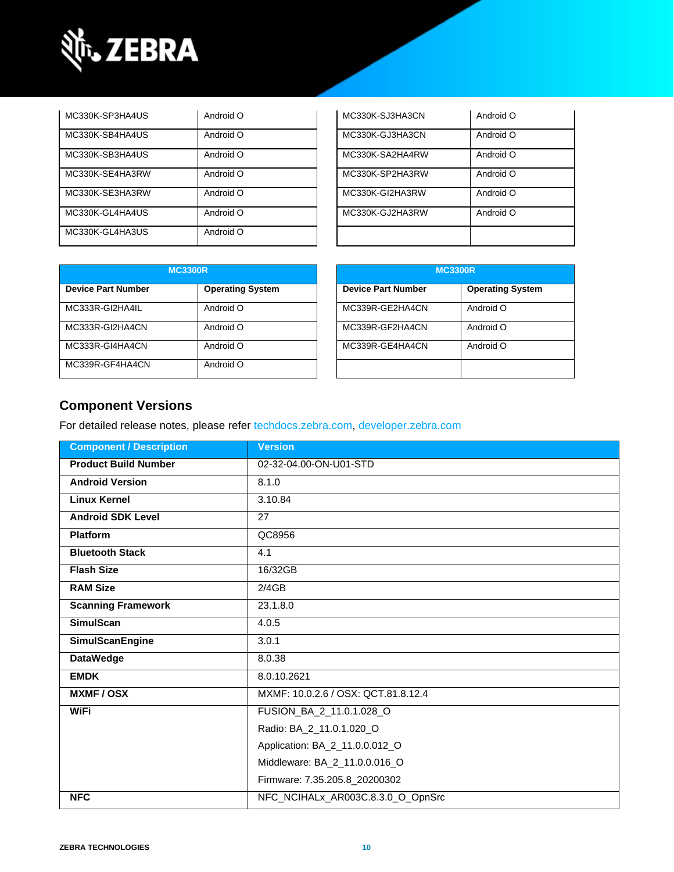

| MC330K-SP3HA4US | Android O | MC330K-SJ3HA3CN | Android O |
|-----------------|-----------|-----------------|-----------|
| MC330K-SB4HA4US | Android O | MC330K-GJ3HA3CN | Android O |
| MC330K-SB3HA4US | Android O | MC330K-SA2HA4RW | Android O |
| MC330K-SE4HA3RW | Android O | MC330K-SP2HA3RW | Android O |
| MC330K-SE3HA3RW | Android O | MC330K-GI2HA3RW | Android O |
| MC330K-GL4HA4US | Android O | MC330K-GJ2HA3RW | Android O |
| MC330K-GL4HA3US | Android O |                 |           |

| MC330K-SJ3HA3CN | O bionbnA |
|-----------------|-----------|
| MC330K-GJ3HA3CN | Android O |
| MC330K-SA2HA4RW | Android O |
| MC330K-SP2HA3RW | Android O |
| MC330K-GI2HA3RW | Android O |
| MC330K-GJ2HA3RW | Android O |
|                 |           |

| <b>MC3300R</b>            |                         | <b>MC3300R</b>            |                         |
|---------------------------|-------------------------|---------------------------|-------------------------|
| <b>Device Part Number</b> | <b>Operating System</b> | <b>Device Part Number</b> | <b>Operating System</b> |
| MC333R-GI2HA4IL           | Android O               | MC339R-GE2HA4CN           | Android O               |
| MC333R-GI2HA4CN           | Android O               | MC339R-GF2HA4CN           | Android O               |
| MC333R-GI4HA4CN           | Android O               | MC339R-GE4HA4CN           | Android O               |
| MC339R-GF4HA4CN           | Android O               |                           |                         |

| <b>MC3300R</b>            |                         |  |
|---------------------------|-------------------------|--|
| <b>Device Part Number</b> | <b>Operating System</b> |  |
| MC339R-GE2HA4CN           | Android O               |  |
| MC339R-GF2HA4CN           | Android O               |  |
| MC339R-GE4HA4CN           | Android O               |  |
|                           |                         |  |

### **Component Versions**

For detailed release notes, please refer [techdocs.zebra.com,](https://techdocs.zebra.com/) [developer.zebra.com](https://developer.zebra.com/)

| <b>Component / Description</b> | <b>Version</b>                      |  |
|--------------------------------|-------------------------------------|--|
| <b>Product Build Number</b>    | 02-32-04.00-ON-U01-STD              |  |
| <b>Android Version</b>         | 8.1.0                               |  |
| <b>Linux Kernel</b>            | 3.10.84                             |  |
| <b>Android SDK Level</b>       | 27                                  |  |
| <b>Platform</b>                | QC8956                              |  |
| <b>Bluetooth Stack</b>         | 4.1                                 |  |
| <b>Flash Size</b>              | 16/32GB                             |  |
| <b>RAM Size</b>                | 2/4GB                               |  |
| <b>Scanning Framework</b>      | 23.1.8.0                            |  |
| <b>SimulScan</b>               | 4.0.5                               |  |
| <b>SimulScanEngine</b>         | 3.0.1                               |  |
| <b>DataWedge</b>               | 8.0.38                              |  |
| <b>EMDK</b>                    | 8.0.10.2621                         |  |
| <b>MXMF/OSX</b>                | MXMF: 10.0.2.6 / OSX: QCT.81.8.12.4 |  |
| <b>WiFi</b>                    | FUSION_BA_2_11.0.1.028_O            |  |
|                                | Radio: BA_2_11.0.1.020_O            |  |
|                                | Application: BA_2_11.0.0.012_O      |  |
|                                | Middleware: BA_2_11.0.0.016_O       |  |
|                                | Firmware: 7.35.205.8_20200302       |  |
| <b>NFC</b>                     | NFC_NCIHALx_AR003C.8.3.0_O_OpnSrc   |  |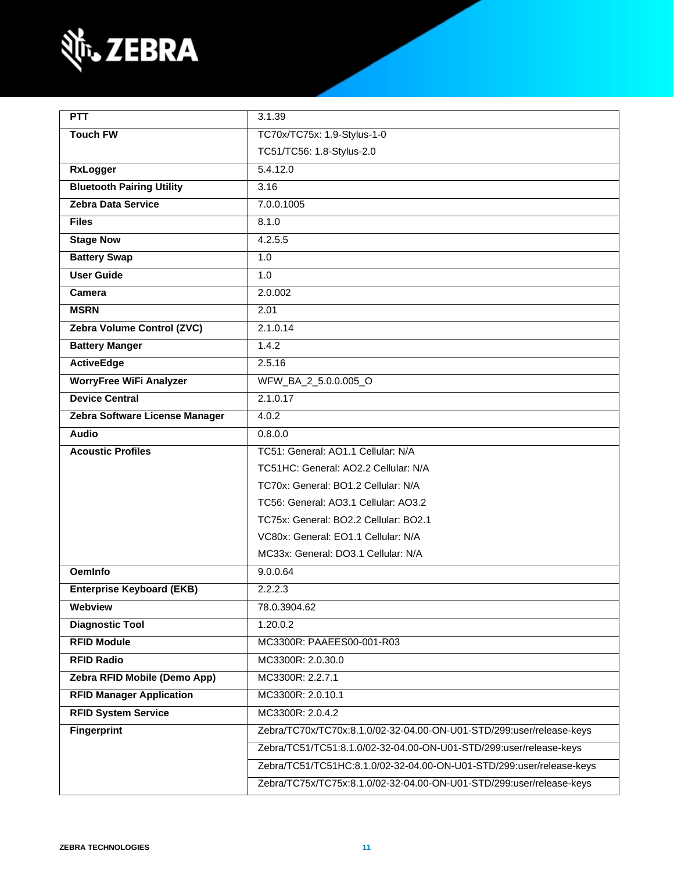

| <b>PTT</b>                       | 3.1.39                                                               |  |
|----------------------------------|----------------------------------------------------------------------|--|
| <b>Touch FW</b>                  | TC70x/TC75x: 1.9-Stylus-1-0                                          |  |
|                                  | TC51/TC56: 1.8-Stylus-2.0                                            |  |
| <b>RxLogger</b>                  | 5.4.12.0                                                             |  |
| <b>Bluetooth Pairing Utility</b> | 3.16                                                                 |  |
| Zebra Data Service               | 7.0.0.1005                                                           |  |
| <b>Files</b>                     | 8.1.0                                                                |  |
| <b>Stage Now</b>                 | 4.2.5.5                                                              |  |
| <b>Battery Swap</b>              | 1.0                                                                  |  |
| <b>User Guide</b>                | 1.0                                                                  |  |
| Camera                           | 2.0.002                                                              |  |
| <b>MSRN</b>                      | 2.01                                                                 |  |
| Zebra Volume Control (ZVC)       | 2.1.0.14                                                             |  |
| <b>Battery Manger</b>            | 1.4.2                                                                |  |
| <b>ActiveEdge</b>                | 2.5.16                                                               |  |
| <b>WorryFree WiFi Analyzer</b>   | WFW_BA_2_5.0.0.005_O                                                 |  |
| <b>Device Central</b>            | 2.1.0.17                                                             |  |
| Zebra Software License Manager   | 4.0.2                                                                |  |
| <b>Audio</b>                     | 0.8.0.0                                                              |  |
| <b>Acoustic Profiles</b>         | TC51: General: AO1.1 Cellular: N/A                                   |  |
|                                  | TC51HC: General: AO2.2 Cellular: N/A                                 |  |
|                                  | TC70x: General: BO1.2 Cellular: N/A                                  |  |
|                                  | TC56: General: AO3.1 Cellular: AO3.2                                 |  |
|                                  | TC75x: General: BO2.2 Cellular: BO2.1                                |  |
|                                  | VC80x: General: EO1.1 Cellular: N/A                                  |  |
|                                  | MC33x: General: DO3.1 Cellular: N/A                                  |  |
| <b>OemInfo</b>                   | 9.0.0.64                                                             |  |
| <b>Enterprise Keyboard (EKB)</b> | 2.2.2.3                                                              |  |
| Webview                          | 78.0.3904.62                                                         |  |
| <b>Diagnostic Tool</b>           | 1.20.0.2                                                             |  |
| <b>RFID Module</b>               | MC3300R: PAAEES00-001-R03                                            |  |
| <b>RFID Radio</b>                | MC3300R: 2.0.30.0                                                    |  |
| Zebra RFID Mobile (Demo App)     | MC3300R: 2.2.7.1                                                     |  |
| <b>RFID Manager Application</b>  | MC3300R: 2.0.10.1                                                    |  |
| <b>RFID System Service</b>       | MC3300R: 2.0.4.2                                                     |  |
| <b>Fingerprint</b>               | Zebra/TC70x/TC70x:8.1.0/02-32-04.00-ON-U01-STD/299:user/release-keys |  |
|                                  | Zebra/TC51/TC51:8.1.0/02-32-04.00-ON-U01-STD/299:user/release-keys   |  |
|                                  | Zebra/TC51/TC51HC:8.1.0/02-32-04.00-ON-U01-STD/299:user/release-keys |  |
|                                  | Zebra/TC75x/TC75x:8.1.0/02-32-04.00-ON-U01-STD/299:user/release-keys |  |